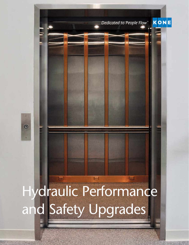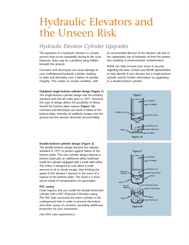# Hydraulic Elevators and the Unseen Risk

## Hydraulic Elevator Cylinder Upgrades

The operation of a hydraulic elevator is a simple process that occurs repeatedly during its life cycle. However, there may be a problem lying hidden beneath the ground.

Corrosion and electrolysis can cause damage to your underground hydraulic cylinder, leading to leaks and ultimately even a failure of cylinder integrity. This creates an unsafe condition, with

**Outdated single-bottom cylinder design (Figure 1)** The single-bottom cylinder design was the industry standard and met all codes prior to 1971. However, this type of design allows the possibility of failure should the bottom plate rupture **(Figure 1A**). Corrosion and electrolysis can result in failure of the bottom plate, whereby oil suddenly escapes into the ground and the elevator descends uncontrollably.

an uncontrolled descent of the elevator cab due to the catastrophic loss of hydraulic oil from the system, also resulting in environmental contamination.

KONE can help increase your sense of security regarding this issue. Contact your KONE representative to help identify if your elevator has a single-bottom cylinder and for further information on upgrading to a double-bottom cylinder.



### **Double-bottom cylinder design (Figure 2)**

The double-bottom design became the industry standard in 1971 to protect against failure of the bottom plate. This new cylinder design features a bottom plate plus an additional safety bulkhead inside the cylinder equipped with a small relief orifice. The orifice is designed to only allow a small amount of oil to slowly escape, thus limiting the speed of the elevator's descent in the event of a rupture of the bottom plate. The result is a more secure mode of transportation for passengers.

#### **PVC casing**

Code requires that you install the double-bottomed cylinder with a PVC (Polyvinyl Chloride) casing. This PVC liner surrounds the entire cylinder in the underground hole in order to prevent electrolysis and other causes of corrosion, providing additional protection for your investment.

*(See ANSI code requirements.)*

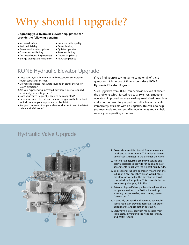# Why should I upgrade?

#### **Upgrading your hydraulic elevator equipment can provide the following benefits:**

- Increased safety
- Reduced liability
- **Fewer service interruptions**
- Optimized availability
- Decreased operating expenses
- **Energy savings and efficiency**
- **n** Improved ride quality
- Better leveling
- Quieter operation
- Parts availability
- $\blacksquare$  Code compliance
- ADA compliance

## KONE Hydraulic Elevator Upgrade

- <sup>n</sup> Does your hydraulic elevator make occasional (or frequent) rough starts and/or stops?
- Do you experience inaccurate leveling in either the Up or Down direction?
- Are you experiencing increased downtime due to required repairs of your existing valve?
- Does your valve frequently need to be readjusted?
- Have you been told that parts are no longer available or hard to find because your equipment is obsolete?
- n Are you concerned that your elevator does not meet the latest safety and ADA codes?

If you find yourself saying yes to some or all of these questions…it is no doubt time to consider a **KONE Hydraulic Elevator Upgrade.**

Such upgrades from KONE can decrease or even eliminate the problems which forced you to answer yes. Smoother operation, improved two-way leveling, minimized downtime and a current inventory of parts are all valuable benefits immediately available with an upgrade. This will also help you meet code and current ADA requirements and can help reduce your operating expenses.

## Hydraulic Valve Upgrade



- 1. Externally accessible pilot oil flow strainers are quick and easy to service. This reduces downtime if contaminates in the oil enter the valve.
- 2. Pilot oil rate adjustors are individualized and easily accessible to provide for quick and easy adjustments to achieve the highest quality ride.
- 3. Bi-directional fail-safe operation means that the failure of a seal on either piston would cause the elevator to stall in the direction of travel controlled by that piston. This prevents the car from slowly dropping into the pit.
- 4. Patented high-efficiency solenoids will continue to operate with up to a 30% voltage drop ensuring proper leveling even during power "brown outs."
- 5. A specially designed and patented up leveling speed regulator provides accurate stall-proof performance and smoother operation.
- 6. Each valve is provided with replaceable main valve seats, eliminating the need for lengthy and costly repairs.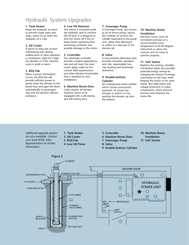## Hydraulic System Upgrades

#### **1. Tank Heater**

Keeps the hydraulic oil warm to prevent rough starts and stops, which occur when the hydraulic oil is cold.

#### **2. Oil Cooler**

A device to keep the oil from overheating and causing malfunctions of valve operation or shutdowns. Ideal for a highuse elevator or if the machine room is small or warm.

#### **3. RSQ Pak**

When a power interruption occurs, the RSQ Pak will provide sufficient power to gently lower the elevator to the lowest floor and open the doors automatically so passengers may exit the elevator without assistance.

#### **4. Low Oil Detector**

This device is mounted inside the hydraulic tank to monitor the oil level. It is designed to shut the motor off if the oil drops below operating level, preventing cavitation and possible damage to the motor.

#### **5. Controller**

The solid-state controller provides a higher dependency rate and will meet the most recent safety codes for fire control, ADA requirements and other elevator functionality that is standard on new installations.

#### **6. Machine Room Door**

Code requires all elevator machine rooms to be equipped with a self-closing and self-locking door.

#### **7. Scavenger Pump**

A Scavenger Pump, also known as an oil return pump, returns the overflow of oil from the cylinder head back to the pump unit, rather than allowing it to collect in a drip pan in the elevator pit.

#### **8. Valve**

A new precision fabricated valve provides smoother operation and ride, dependable twoway leveling and minimized downtime.

#### **9. Double-bottom Cylinder**

An underground metal cylinder which houses pressurized hydraulic oil causes the plunger or piston to rise, pushing the elevator up from the bottom.

#### **10. Machine Room Ventilation**

Machine rooms must be ventilated and kept at a recommended room temperature of 65-90 degrees Fahrenheit to allow the controls and oil temp to operate properly.

#### **11. Soft Starter**

Replaces the existing, obsolete mechanical starter and provides potential energy savings by changing the amount of energy used based on the load, while keeping the motor at the same speed. Also adds phase and voltage protection to major components, which prevents burnout and enhances the motor life.

*Additional upgrade options are also available. Contact your local KONE Sales Representative for further information.*

- **1. Tank Heater**
- **2. Oil Cooler**
- **3. RSQ Pak**

Figure 3

- **4. Low Oil Timer**
- **5. Controller**
- **6. Machine Room Door**
- **7. Scavenger Pump**
- **8. Valve**
- **9. Double-bottom Cylinder**
- **10. Machine Room Ventilation**
- **11. Soft Starter**

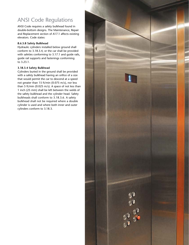## ANSI Code Regulations

ANSI Code requires a safety bulkhead found in double-bottom designs. The Maintenance, Repair and Replacement section of A17.1 affects existing elevators. Code states:

#### **8.6.5.8 Safety Bulkhead**

Hydraulic cylinders installed below ground shall conform to 3.18.3.4, or the car shall be provided with safeties conforming to 3.17.1 and guide rails, guide rail supports and fastenings conforming to 3.23.1.

#### **3.18.3.4 Safety Bulkhead**

Cylinders buried in the ground shall be provided with a safety bulkhead having an orifice of a size that would permit the car to descend at a speed not greater than 15 ft/min (0.075 m/s), nor less than 5 ft/min (0.025 m/s). A space of not less than 1 inch (25 mm) shall be left between the welds of the safety bulkhead and the cylinder head. Safety bulkheads shall conform to 3.18.3.6. A safety bulkhead shall not be required where a double cylinder is used and where both inner and outer cylinders conform to 3.18.3.